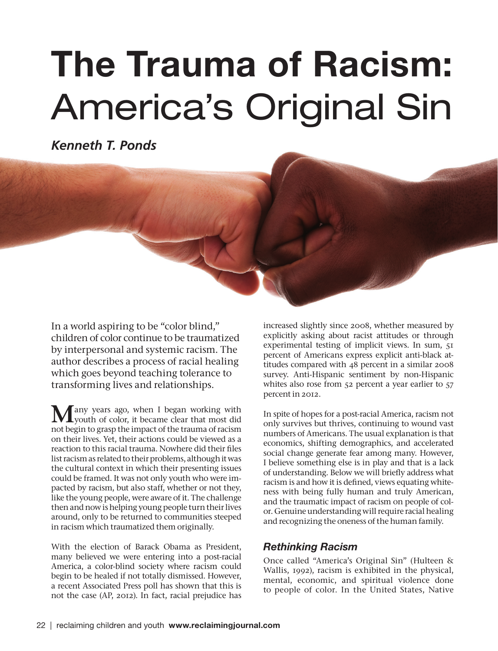## The Trauma of Racism: America's Original Sin

*Kenneth T. Ponds*

In a world aspiring to be "color blind," children of color continue to be traumatized by interpersonal and systemic racism. The author describes a process of racial healing which goes beyond teaching tolerance to transforming lives and relationships.

Many years ago, when I began working with<br>
youth of color, it became clear that most did not begin to grasp the impact of the trauma of racism on their lives. Yet, their actions could be viewed as a reaction to this racial trauma. Nowhere did their files list racism as related to their problems, although it was the cultural context in which their presenting issues could be framed. It was not only youth who were impacted by racism, but also staff, whether or not they, like the young people, were aware of it. The challenge then and now is helping young people turn their lives around, only to be returned to communities steeped in racism which traumatized them originally.

With the election of Barack Obama as President, many believed we were entering into a post-racial America, a color-blind society where racism could begin to be healed if not totally dismissed. However, a recent Associated Press poll has shown that this is not the case (AP, 2012). In fact, racial prejudice has

increased slightly since 2008, whether measured by explicitly asking about racist attitudes or through experimental testing of implicit views. In sum, 51 percent of Americans express explicit anti-black attitudes compared with 48 percent in a similar 2008 survey. Anti-Hispanic sentiment by non-Hispanic whites also rose from 52 percent a year earlier to 57 percent in 2012.

In spite of hopes for a post-racial America, racism not only survives but thrives, continuing to wound vast numbers of Americans. The usual explanation is that economics, shifting demographics, and accelerated social change generate fear among many. However, I believe something else is in play and that is a lack of understanding. Below we will briefly address what racism is and how it is defined, views equating whiteness with being fully human and truly American, and the traumatic impact of racism on people of color. Genuine understanding will require racial healing and recognizing the oneness of the human family.

## *Rethinking Racism*

Once called "America's Original Sin" (Hulteen & Wallis, 1992), racism is exhibited in the physical, mental, economic, and spiritual violence done to people of color. In the United States, Native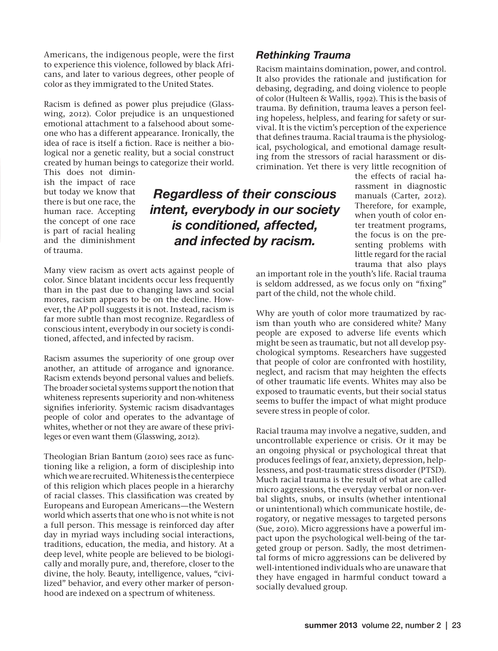Americans, the indigenous people, were the first to experience this violence, followed by black Africans, and later to various degrees, other people of color as they immigrated to the United States.

Racism is defined as power plus prejudice (Glasswing, 2012). Color prejudice is an unquestioned emotional attachment to a falsehood about someone who has a different appearance. Ironically, the idea of race is itself a fiction. Race is neither a biological nor a genetic reality, but a social construct created by human beings to categorize their world.

This does not diminish the impact of race but today we know that there is but one race, the human race. Accepting the concept of one race is part of racial healing and the diminishment of trauma.

*Regardless of their conscious intent, everybody in our society is conditioned, affected, and infected by racism.*

Many view racism as overt acts against people of color. Since blatant incidents occur less frequently than in the past due to changing laws and social mores, racism appears to be on the decline. However, the AP poll suggests it is not. Instead, racism is far more subtle than most recognize. Regardless of conscious intent, everybody in our society is conditioned, affected, and infected by racism.

Racism assumes the superiority of one group over another, an attitude of arrogance and ignorance. Racism extends beyond personal values and beliefs. The broader societal systems support the notion that whiteness represents superiority and non-whiteness signifies inferiority. Systemic racism disadvantages people of color and operates to the advantage of whites, whether or not they are aware of these privileges or even want them (Glasswing, 2012).

Theologian Brian Bantum (2010) sees race as functioning like a religion, a form of discipleship into which we are recruited. Whiteness is the centerpiece of this religion which places people in a hierarchy of racial classes. This classification was created by Europeans and European Americans—the Western world which asserts that one who is not white is not a full person. This message is reinforced day after day in myriad ways including social interactions, traditions, education, the media, and history. At a deep level, white people are believed to be biologically and morally pure, and, therefore, closer to the divine, the holy. Beauty, intelligence, values, "civilized" behavior, and every other marker of personhood are indexed on a spectrum of whiteness.

*Rethinking Trauma* 

Racism maintains domination, power, and control. It also provides the rationale and justification for debasing, degrading, and doing violence to people of color (Hulteen & Wallis, 1992). This is the basis of trauma. By definition, trauma leaves a person feeling hopeless, helpless, and fearing for safety or survival. It is the victim's perception of the experience that defines trauma. Racial trauma is the physiological, psychological, and emotional damage resulting from the stressors of racial harassment or discrimination. Yet there is very little recognition of

> the effects of racial harassment in diagnostic manuals (Carter, 2012). Therefore, for example, when youth of color enter treatment programs, the focus is on the presenting problems with little regard for the racial trauma that also plays

an important role in the youth's life. Racial trauma is seldom addressed, as we focus only on "fixing" part of the child, not the whole child.

Why are youth of color more traumatized by racism than youth who are considered white? Many people are exposed to adverse life events which might be seen as traumatic, but not all develop psychological symptoms. Researchers have suggested that people of color are confronted with hostility, neglect, and racism that may heighten the effects of other traumatic life events. Whites may also be exposed to traumatic events, but their social status seems to buffer the impact of what might produce severe stress in people of color.

Racial trauma may involve a negative, sudden, and uncontrollable experience or crisis. Or it may be an ongoing physical or psychological threat that produces feelings of fear, anxiety, depression, helplessness, and post-traumatic stress disorder (PTSD). Much racial trauma is the result of what are called micro aggressions, the everyday verbal or non-verbal slights, snubs, or insults (whether intentional or unintentional) which communicate hostile, derogatory, or negative messages to targeted persons (Sue, 2010). Micro aggressions have a powerful impact upon the psychological well-being of the targeted group or person. Sadly, the most detrimental forms of micro aggressions can be delivered by well-intentioned individuals who are unaware that they have engaged in harmful conduct toward a socially devalued group.